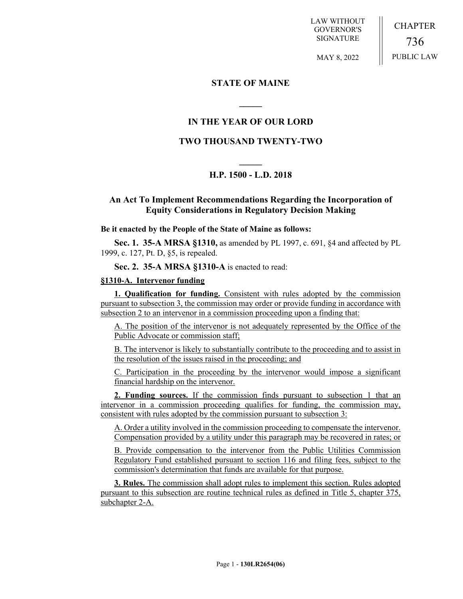LAW WITHOUT GOVERNOR'S SIGNATURE

CHAPTER 736 PUBLIC LAW

MAY 8, 2022

#### **STATE OF MAINE**

### **IN THE YEAR OF OUR LORD**

**\_\_\_\_\_**

## **TWO THOUSAND TWENTY-TWO**

# **\_\_\_\_\_ H.P. 1500 - L.D. 2018**

### **An Act To Implement Recommendations Regarding the Incorporation of Equity Considerations in Regulatory Decision Making**

#### **Be it enacted by the People of the State of Maine as follows:**

**Sec. 1. 35-A MRSA §1310,** as amended by PL 1997, c. 691, §4 and affected by PL 1999, c. 127, Pt. D, §5, is repealed.

**Sec. 2. 35-A MRSA §1310-A** is enacted to read:

#### **§1310-A. Intervenor funding**

**1. Qualification for funding.** Consistent with rules adopted by the commission pursuant to subsection 3, the commission may order or provide funding in accordance with subsection 2 to an intervenor in a commission proceeding upon a finding that:

A. The position of the intervenor is not adequately represented by the Office of the Public Advocate or commission staff;

B. The intervenor is likely to substantially contribute to the proceeding and to assist in the resolution of the issues raised in the proceeding; and

C. Participation in the proceeding by the intervenor would impose a significant financial hardship on the intervenor.

**2. Funding sources.** If the commission finds pursuant to subsection 1 that an intervenor in a commission proceeding qualifies for funding, the commission may, consistent with rules adopted by the commission pursuant to subsection 3:

A. Order a utility involved in the commission proceeding to compensate the intervenor. Compensation provided by a utility under this paragraph may be recovered in rates; or

B. Provide compensation to the intervenor from the Public Utilities Commission Regulatory Fund established pursuant to section 116 and filing fees, subject to the commission's determination that funds are available for that purpose.

**3. Rules.** The commission shall adopt rules to implement this section. Rules adopted pursuant to this subsection are routine technical rules as defined in Title 5, chapter 375, subchapter 2-A.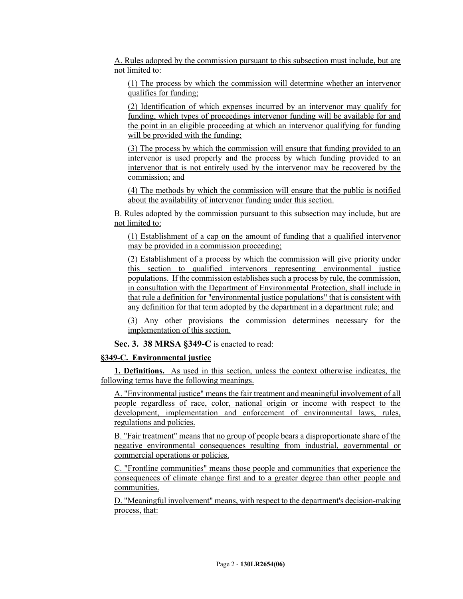A. Rules adopted by the commission pursuant to this subsection must include, but are not limited to:

(1) The process by which the commission will determine whether an intervenor qualifies for funding;

(2) Identification of which expenses incurred by an intervenor may qualify for funding, which types of proceedings intervenor funding will be available for and the point in an eligible proceeding at which an intervenor qualifying for funding will be provided with the funding:

(3) The process by which the commission will ensure that funding provided to an intervenor is used properly and the process by which funding provided to an intervenor that is not entirely used by the intervenor may be recovered by the commission; and

(4) The methods by which the commission will ensure that the public is notified about the availability of intervenor funding under this section.

B. Rules adopted by the commission pursuant to this subsection may include, but are not limited to:

(1) Establishment of a cap on the amount of funding that a qualified intervenor may be provided in a commission proceeding;

(2) Establishment of a process by which the commission will give priority under this section to qualified intervenors representing environmental justice populations. If the commission establishes such a process by rule, the commission, in consultation with the Department of Environmental Protection, shall include in that rule a definition for "environmental justice populations" that is consistent with any definition for that term adopted by the department in a department rule; and

(3) Any other provisions the commission determines necessary for the implementation of this section.

**Sec. 3. 38 MRSA §349-C** is enacted to read:

#### **§349-C. Environmental justice**

**1. Definitions.** As used in this section, unless the context otherwise indicates, the following terms have the following meanings.

A. "Environmental justice" means the fair treatment and meaningful involvement of all people regardless of race, color, national origin or income with respect to the development, implementation and enforcement of environmental laws, rules, regulations and policies.

B. "Fair treatment" means that no group of people bears a disproportionate share of the negative environmental consequences resulting from industrial, governmental or commercial operations or policies.

C. "Frontline communities" means those people and communities that experience the consequences of climate change first and to a greater degree than other people and communities.

D. "Meaningful involvement" means, with respect to the department's decision-making process, that: